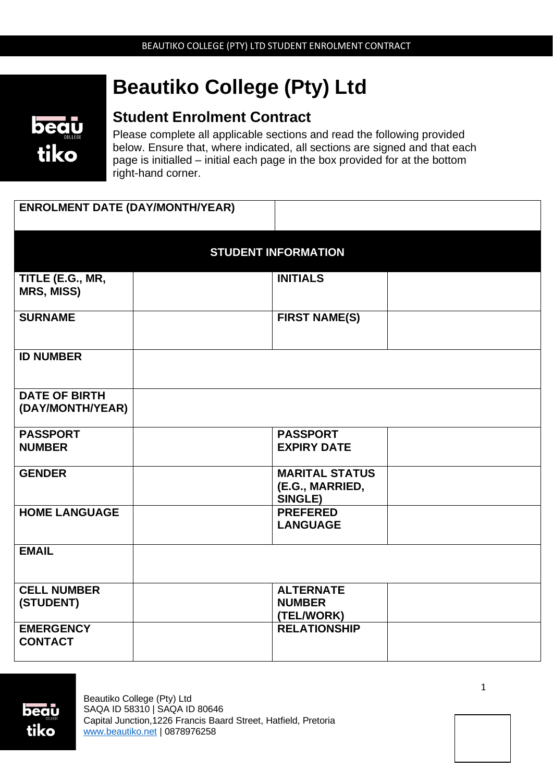# **Beautiko College (Pty) Ltd**



# **Student Enrolment Contract**

Please complete all applicable sections and read the following provided below. Ensure that, where indicated, all sections are signed and that each page is initialled – initial each page in the box provided for at the bottom right-hand corner.

| <b>ENROLMENT DATE (DAY/MONTH/YEAR)</b>   |  |                                                            |  |  |
|------------------------------------------|--|------------------------------------------------------------|--|--|
| <b>STUDENT INFORMATION</b>               |  |                                                            |  |  |
| TITLE (E.G., MR,<br><b>MRS, MISS)</b>    |  | <b>INITIALS</b>                                            |  |  |
| <b>SURNAME</b>                           |  | <b>FIRST NAME(S)</b>                                       |  |  |
| <b>ID NUMBER</b>                         |  |                                                            |  |  |
| <b>DATE OF BIRTH</b><br>(DAY/MONTH/YEAR) |  |                                                            |  |  |
| <b>PASSPORT</b><br><b>NUMBER</b>         |  | <b>PASSPORT</b><br><b>EXPIRY DATE</b>                      |  |  |
| <b>GENDER</b>                            |  | <b>MARITAL STATUS</b><br>(E.G., MARRIED,<br><b>SINGLE)</b> |  |  |
| <b>HOME LANGUAGE</b>                     |  | <b>PREFERED</b><br><b>LANGUAGE</b>                         |  |  |
| <b>EMAIL</b>                             |  |                                                            |  |  |
| <b>CELL NUMBER</b><br>(STUDENT)          |  | <b>ALTERNATE</b><br><b>NUMBER</b><br>(TEL/WORK)            |  |  |
| <b>EMERGENCY</b><br><b>CONTACT</b>       |  | <b>RELATIONSHIP</b>                                        |  |  |



1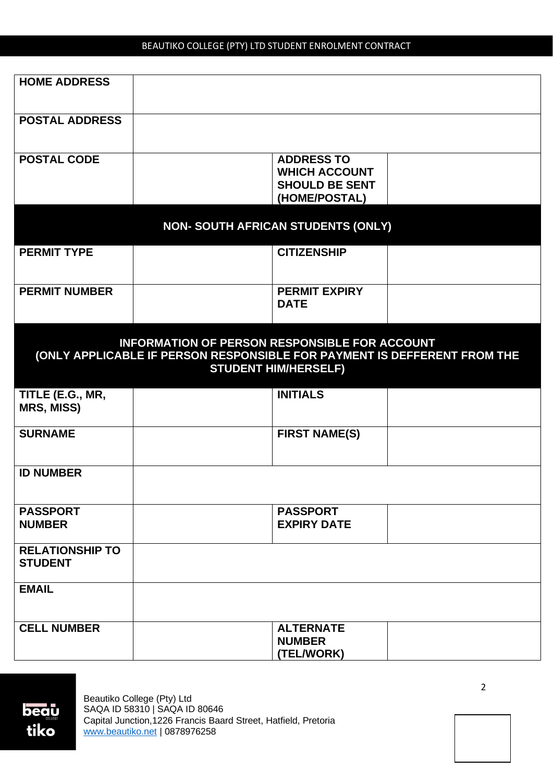| <b>HOME ADDRESS</b>                      |                                                                                                                                                                 |  |
|------------------------------------------|-----------------------------------------------------------------------------------------------------------------------------------------------------------------|--|
| <b>POSTAL ADDRESS</b>                    |                                                                                                                                                                 |  |
| <b>POSTAL CODE</b>                       | <b>ADDRESS TO</b><br><b>WHICH ACCOUNT</b><br><b>SHOULD BE SENT</b><br>(HOME/POSTAL)                                                                             |  |
|                                          | <b>NON- SOUTH AFRICAN STUDENTS (ONLY)</b>                                                                                                                       |  |
| <b>PERMIT TYPE</b>                       | <b>CITIZENSHIP</b>                                                                                                                                              |  |
| <b>PERMIT NUMBER</b>                     | <b>PERMIT EXPIRY</b><br><b>DATE</b>                                                                                                                             |  |
|                                          | <b>INFORMATION OF PERSON RESPONSIBLE FOR ACCOUNT</b><br>(ONLY APPLICABLE IF PERSON RESPONSIBLE FOR PAYMENT IS DEFFERENT FROM THE<br><b>STUDENT HIM/HERSELF)</b> |  |
| TITLE (E.G., MR,<br><b>MRS, MISS)</b>    | <b>INITIALS</b>                                                                                                                                                 |  |
| <b>SURNAME</b>                           | <b>FIRST NAME(S)</b>                                                                                                                                            |  |
| <b>ID NUMBER</b>                         |                                                                                                                                                                 |  |
| <b>PASSPORT</b><br><b>NUMBER</b>         | <b>PASSPORT</b><br><b>EXPIRY DATE</b>                                                                                                                           |  |
| <b>RELATIONSHIP TO</b><br><b>STUDENT</b> |                                                                                                                                                                 |  |
| <b>EMAIL</b>                             |                                                                                                                                                                 |  |
| <b>CELL NUMBER</b>                       | <b>ALTERNATE</b><br><b>NUMBER</b><br>(TEL/WORK)                                                                                                                 |  |

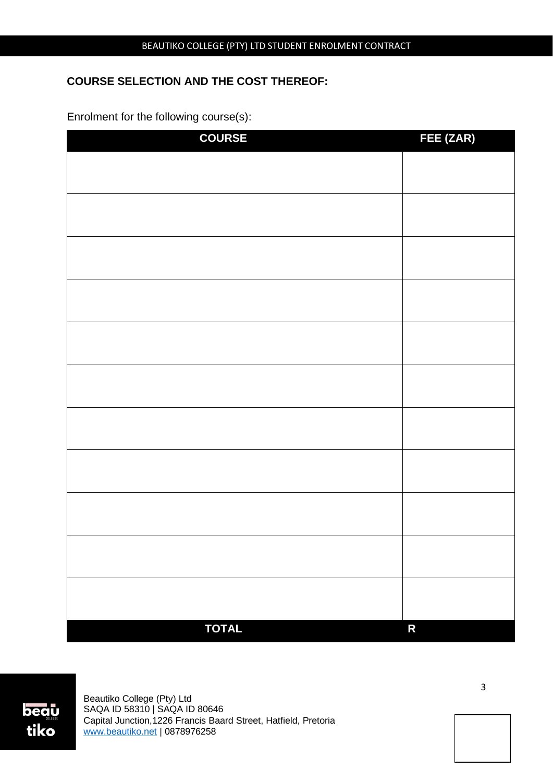# **COURSE SELECTION AND THE COST THEREOF:**

Enrolment for the following course(s):

| <b>COURSE</b> | FEE (ZAR)          |
|---------------|--------------------|
|               |                    |
|               |                    |
|               |                    |
|               |                    |
|               |                    |
|               |                    |
|               |                    |
|               |                    |
|               |                    |
|               |                    |
|               |                    |
|               |                    |
|               |                    |
|               |                    |
|               |                    |
|               |                    |
|               |                    |
|               |                    |
|               |                    |
|               |                    |
|               |                    |
|               |                    |
| <b>TOTAL</b>  | $\mathsf{R}% _{T}$ |



Beautiko College (Pty) Ltd SAQA ID 58310 | SAQA ID 80646 Capital Junction,1226 Francis Baard Street, Hatfield, Pretoria [www.beautiko.net](http://www.beautiko.net/) | 0878976258

3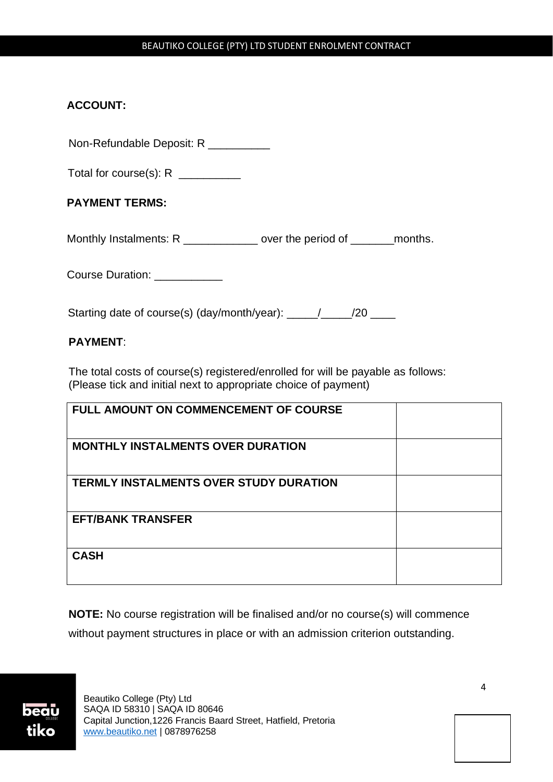# **ACCOUNT:**

Non-Refundable Deposit: R \_\_\_\_\_\_\_\_\_\_

Total for course(s): R

# **PAYMENT TERMS:**

Monthly Instalments: R \_\_\_\_\_\_\_\_\_\_\_\_ over the period of \_\_\_\_\_\_\_months.

Course Duration: \_\_\_\_\_\_\_\_\_\_\_\_

Starting date of course(s) (day/month/year): \_\_\_\_\_/\_\_\_\_\_/20 \_\_\_\_

# **PAYMENT**:

The total costs of course(s) registered/enrolled for will be payable as follows: (Please tick and initial next to appropriate choice of payment)

| <b>FULL AMOUNT ON COMMENCEMENT OF COURSE</b>  |  |
|-----------------------------------------------|--|
| <b>MONTHLY INSTALMENTS OVER DURATION</b>      |  |
| <b>TERMLY INSTALMENTS OVER STUDY DURATION</b> |  |
| <b>EFT/BANK TRANSFER</b>                      |  |
| <b>CASH</b>                                   |  |

**NOTE:** No course registration will be finalised and/or no course(s) will commence without payment structures in place or with an admission criterion outstanding.

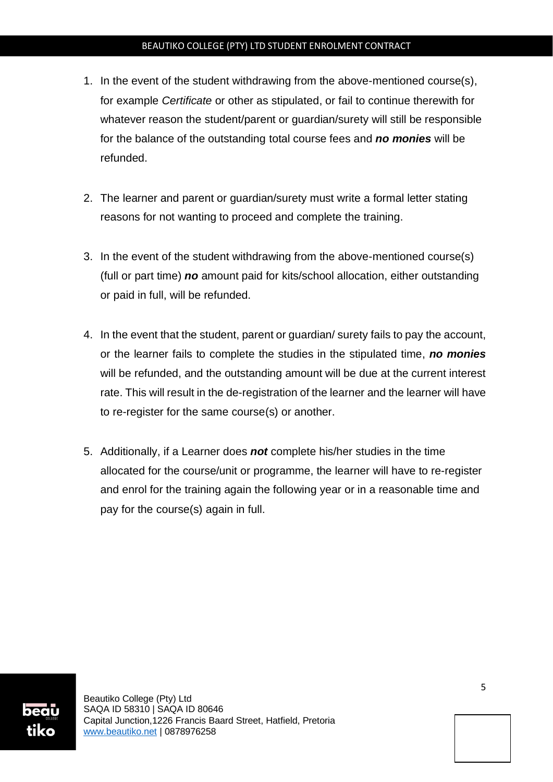- 1. In the event of the student withdrawing from the above-mentioned course(s), for example *Certificate* or other as stipulated, or fail to continue therewith for whatever reason the student/parent or quardian/surety will still be responsible for the balance of the outstanding total course fees and *no monies* will be refunded.
- 2. The learner and parent or guardian/surety must write a formal letter stating reasons for not wanting to proceed and complete the training.
- 3. In the event of the student withdrawing from the above-mentioned course(s) (full or part time) *no* amount paid for kits/school allocation, either outstanding or paid in full, will be refunded.
- 4. In the event that the student, parent or guardian/ surety fails to pay the account, or the learner fails to complete the studies in the stipulated time, *no monies* will be refunded, and the outstanding amount will be due at the current interest rate. This will result in the de-registration of the learner and the learner will have to re-register for the same course(s) or another.
- 5. Additionally, if a Learner does *not* complete his/her studies in the time allocated for the course/unit or programme, the learner will have to re-register and enrol for the training again the following year or in a reasonable time and pay for the course(s) again in full.

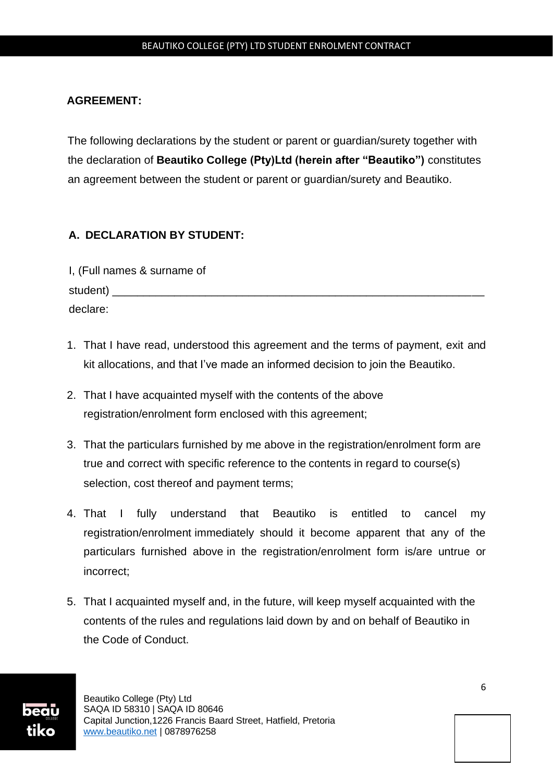#### **AGREEMENT:**

The following declarations by the student or parent or guardian/surety together with the declaration of **Beautiko College (Pty)Ltd (herein after "Beautiko")** constitutes an agreement between the student or parent or guardian/surety and Beautiko.

# **A. DECLARATION BY STUDENT:**

| I, (Full names & surname of |  |
|-----------------------------|--|
| student) _                  |  |
| declare:                    |  |

- 1. That I have read, understood this agreement and the terms of payment, exit and kit allocations, and that I've made an informed decision to join the Beautiko.
- 2. That I have acquainted myself with the contents of the above registration/enrolment form enclosed with this agreement;
- 3. That the particulars furnished by me above in the registration/enrolment form are true and correct with specific reference to the contents in regard to course(s) selection, cost thereof and payment terms;
- 4. That I fully understand that Beautiko is entitled to cancel my registration/enrolment immediately should it become apparent that any of the particulars furnished above in the registration/enrolment form is/are untrue or incorrect;
- 5. That I acquainted myself and, in the future, will keep myself acquainted with the contents of the rules and regulations laid down by and on behalf of Beautiko in the Code of Conduct.

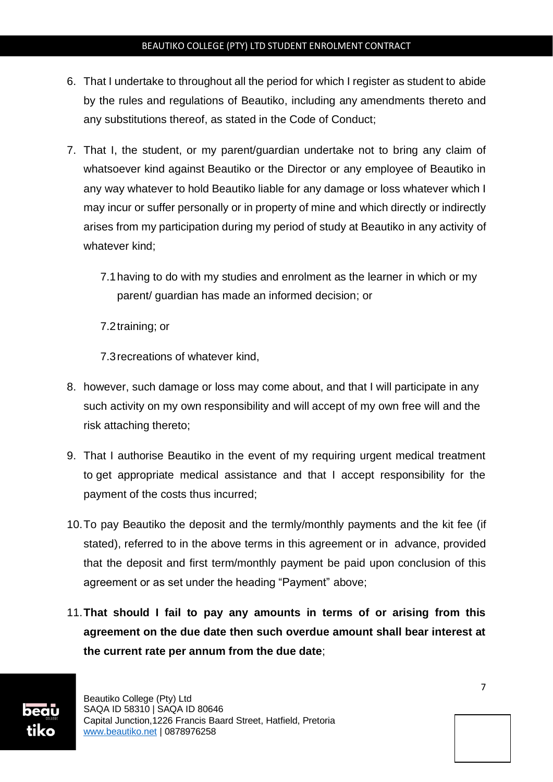- 6. That I undertake to throughout all the period for which I register as student to abide by the rules and regulations of Beautiko, including any amendments thereto and any substitutions thereof, as stated in the Code of Conduct;
- 7. That I, the student, or my parent/guardian undertake not to bring any claim of whatsoever kind against Beautiko or the Director or any employee of Beautiko in any way whatever to hold Beautiko liable for any damage or loss whatever which I may incur or suffer personally or in property of mine and which directly or indirectly arises from my participation during my period of study at Beautiko in any activity of whatever kind;
	- 7.1having to do with my studies and enrolment as the learner in which or my parent/ guardian has made an informed decision; or

7.2training; or

7.3recreations of whatever kind,

- 8. however, such damage or loss may come about, and that I will participate in any such activity on my own responsibility and will accept of my own free will and the risk attaching thereto;
- 9. That I authorise Beautiko in the event of my requiring urgent medical treatment to get appropriate medical assistance and that I accept responsibility for the payment of the costs thus incurred;
- 10.To pay Beautiko the deposit and the termly/monthly payments and the kit fee (if stated), referred to in the above terms in this agreement or in advance, provided that the deposit and first term/monthly payment be paid upon conclusion of this agreement or as set under the heading "Payment" above;
- 11.**That should I fail to pay any amounts in terms of or arising from this agreement on the due date then such overdue amount shall bear interest at the current rate per annum from the due date**;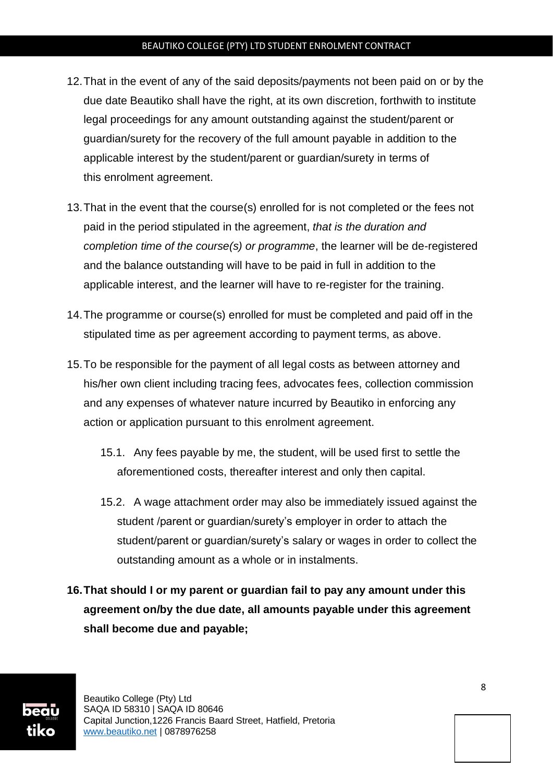- 12.That in the event of any of the said deposits/payments not been paid on or by the due date Beautiko shall have the right, at its own discretion, forthwith to institute legal proceedings for any amount outstanding against the student/parent or guardian/surety for the recovery of the full amount payable in addition to the applicable interest by the student/parent or guardian/surety in terms of this enrolment agreement.
- 13.That in the event that the course(s) enrolled for is not completed or the fees not paid in the period stipulated in the agreement, *that is the duration and completion time of the course(s) or programme*, the learner will be de-registered and the balance outstanding will have to be paid in full in addition to the applicable interest, and the learner will have to re-register for the training.
- 14.The programme or course(s) enrolled for must be completed and paid off in the stipulated time as per agreement according to payment terms, as above.
- 15.To be responsible for the payment of all legal costs as between attorney and his/her own client including tracing fees, advocates fees, collection commission and any expenses of whatever nature incurred by Beautiko in enforcing any action or application pursuant to this enrolment agreement.
	- 15.1. Any fees payable by me, the student, will be used first to settle the aforementioned costs, thereafter interest and only then capital.
	- 15.2. A wage attachment order may also be immediately issued against the student /parent or guardian/surety's employer in order to attach the student/parent or guardian/surety's salary or wages in order to collect the outstanding amount as a whole or in instalments.
- **16.That should I or my parent or guardian fail to pay any amount under this agreement on/by the due date, all amounts payable under this agreement shall become due and payable;**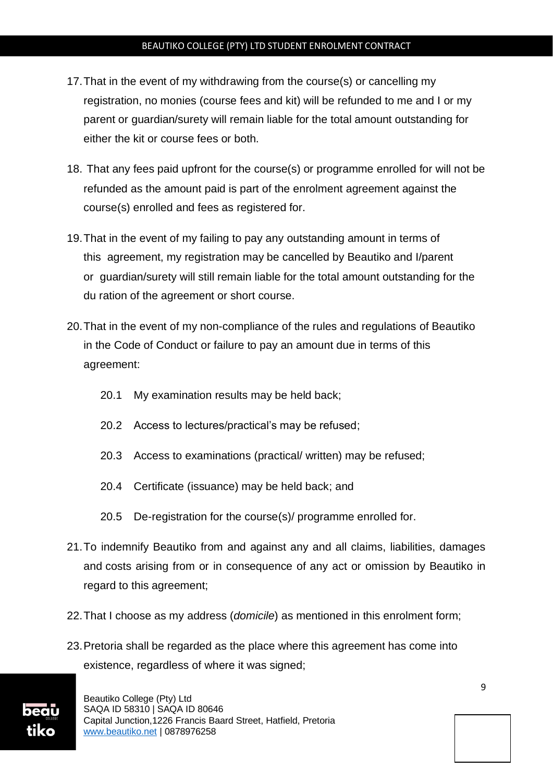- 17.That in the event of my withdrawing from the course(s) or cancelling my registration, no monies (course fees and kit) will be refunded to me and I or my parent or guardian/surety will remain liable for the total amount outstanding for either the kit or course fees or both.
- 18. That any fees paid upfront for the course(s) or programme enrolled for will not be refunded as the amount paid is part of the enrolment agreement against the course(s) enrolled and fees as registered for.
- 19.That in the event of my failing to pay any outstanding amount in terms of this agreement, my registration may be cancelled by Beautiko and I/parent or guardian/surety will still remain liable for the total amount outstanding for the du ration of the agreement or short course.
- 20.That in the event of my non-compliance of the rules and regulations of Beautiko in the Code of Conduct or failure to pay an amount due in terms of this agreement:
	- 20.1 My examination results may be held back;
	- 20.2 Access to lectures/practical's may be refused;
	- 20.3 Access to examinations (practical/ written) may be refused;
	- 20.4 Certificate (issuance) may be held back; and
	- 20.5 De-registration for the course(s)/ programme enrolled for.
- 21.To indemnify Beautiko from and against any and all claims, liabilities, damages and costs arising from or in consequence of any act or omission by Beautiko in regard to this agreement;
- 22.That I choose as my address (*domicile*) as mentioned in this enrolment form;
- 23.Pretoria shall be regarded as the place where this agreement has come into existence, regardless of where it was signed;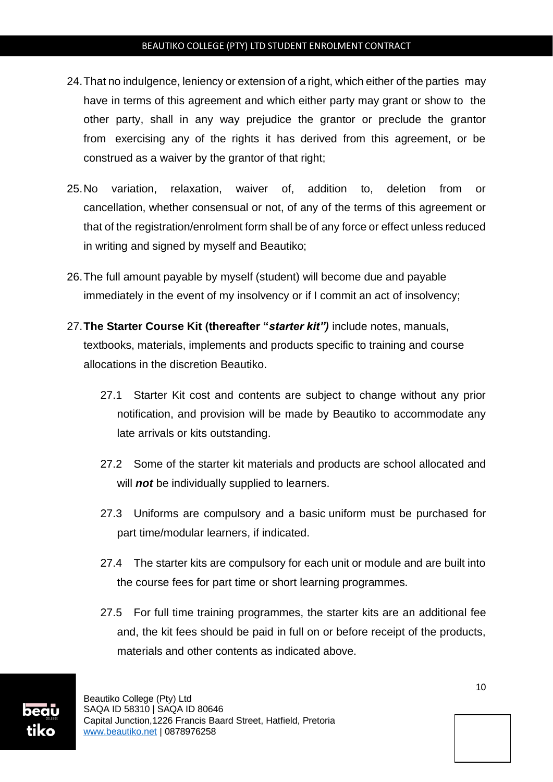- 24.That no indulgence, leniency or extension of a right, which either of the parties may have in terms of this agreement and which either party may grant or show to the other party, shall in any way prejudice the grantor or preclude the grantor from exercising any of the rights it has derived from this agreement, or be construed as a waiver by the grantor of that right:
- 25.No variation, relaxation, waiver of, addition to, deletion from or cancellation, whether consensual or not, of any of the terms of this agreement or that of the registration/enrolment form shall be of any force or effect unless reduced in writing and signed by myself and Beautiko;
- 26.The full amount payable by myself (student) will become due and payable immediately in the event of my insolvency or if I commit an act of insolvency;
- 27.**The Starter Course Kit (thereafter "***starter kit")* include notes, manuals, textbooks, materials, implements and products specific to training and course allocations in the discretion Beautiko.
	- 27.1 Starter Kit cost and contents are subject to change without any prior notification, and provision will be made by Beautiko to accommodate any late arrivals or kits outstanding.
	- 27.2 Some of the starter kit materials and products are school allocated and will *not* be individually supplied to learners.
	- 27.3 Uniforms are compulsory and a basic uniform must be purchased for part time/modular learners, if indicated.
	- 27.4 The starter kits are compulsory for each unit or module and are built into the course fees for part time or short learning programmes.
	- 27.5 For full time training programmes, the starter kits are an additional fee and, the kit fees should be paid in full on or before receipt of the products, materials and other contents as indicated above.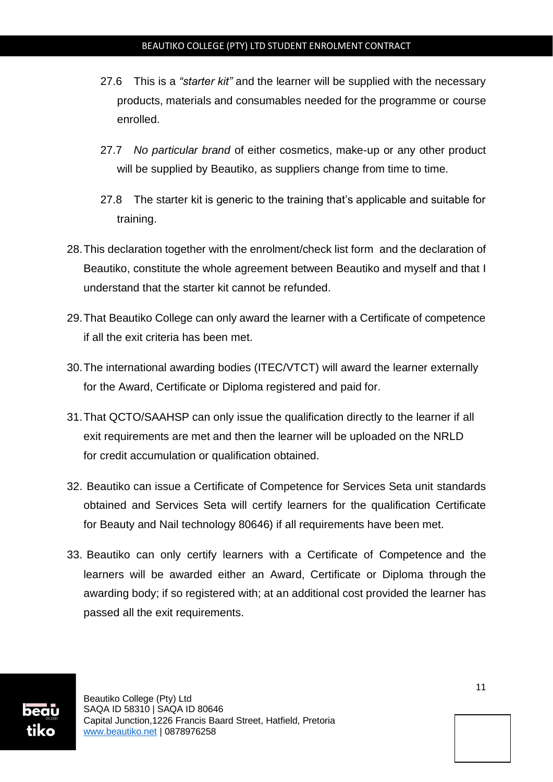- 27.6 This is a *"starter kit"* and the learner will be supplied with the necessary products, materials and consumables needed for the programme or course enrolled.
- 27.7 *No particular brand* of either cosmetics, make-up or any other product will be supplied by Beautiko, as suppliers change from time to time.
- 27.8 The starter kit is generic to the training that's applicable and suitable for training.
- 28.This declaration together with the enrolment/check list form and the declaration of Beautiko, constitute the whole agreement between Beautiko and myself and that I understand that the starter kit cannot be refunded.
- 29.That Beautiko College can only award the learner with a Certificate of competence if all the exit criteria has been met.
- 30.The international awarding bodies (ITEC/VTCT) will award the learner externally for the Award, Certificate or Diploma registered and paid for.
- 31.That QCTO/SAAHSP can only issue the qualification directly to the learner if all exit requirements are met and then the learner will be uploaded on the NRLD for credit accumulation or qualification obtained.
- 32. Beautiko can issue a Certificate of Competence for Services Seta unit standards obtained and Services Seta will certify learners for the qualification Certificate for Beauty and Nail technology 80646) if all requirements have been met.
- 33. Beautiko can only certify learners with a Certificate of Competence and the learners will be awarded either an Award, Certificate or Diploma through the awarding body; if so registered with; at an additional cost provided the learner has passed all the exit requirements.

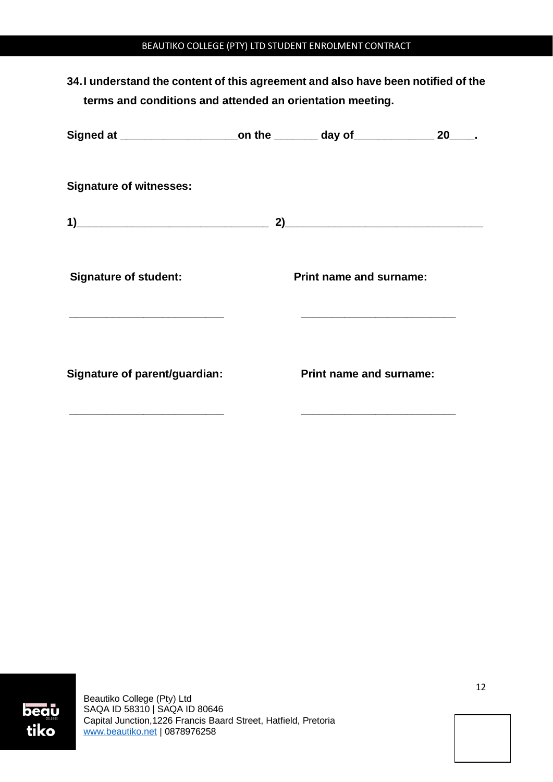**34.I understand the content of this agreement and also have been notified of the terms and conditions and attended an orientation meeting.**

| Signed at ________________________on the _________ day of ________________ 20_____. |                                |                                                                                                                                                          |  |
|-------------------------------------------------------------------------------------|--------------------------------|----------------------------------------------------------------------------------------------------------------------------------------------------------|--|
| <b>Signature of witnesses:</b>                                                      |                                |                                                                                                                                                          |  |
| $\overline{1}$                                                                      |                                |                                                                                                                                                          |  |
| <b>Signature of student:</b><br><u> 1989 - Johann John Stone, markin fizikar (</u>  |                                | <b>Print name and surname:</b><br><u> 1965 - Johann John Harry Harry Harry Harry Harry Harry Harry Harry Harry Harry Harry Harry Harry Harry Harry H</u> |  |
| <b>Signature of parent/guardian:</b>                                                | <b>Print name and surname:</b> |                                                                                                                                                          |  |
|                                                                                     |                                |                                                                                                                                                          |  |

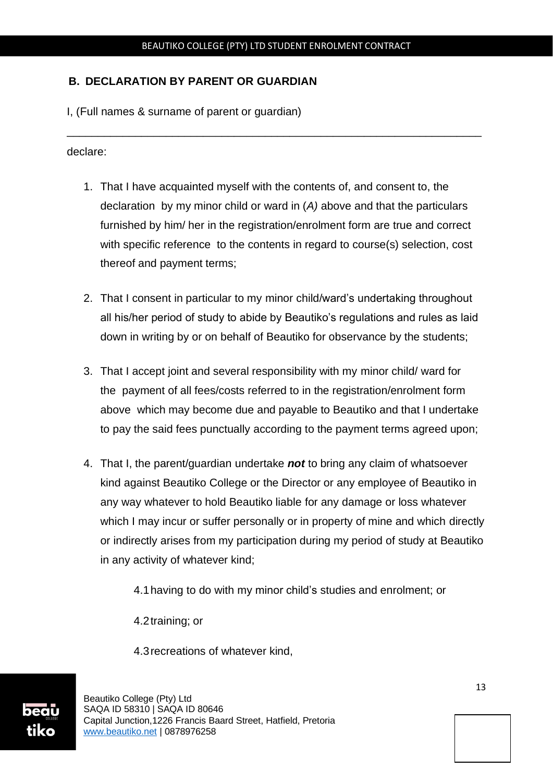\_\_\_\_\_\_\_\_\_\_\_\_\_\_\_\_\_\_\_\_\_\_\_\_\_\_\_\_\_\_\_\_\_\_\_\_\_\_\_\_\_\_\_\_\_\_\_\_\_\_\_\_\_\_\_\_\_\_\_\_\_\_\_\_\_\_\_

# **B. DECLARATION BY PARENT OR GUARDIAN**

I, (Full names & surname of parent or guardian)

declare:

- 1. That I have acquainted myself with the contents of, and consent to, the declaration by my minor child or ward in (*A)* above and that the particulars furnished by him/ her in the registration/enrolment form are true and correct with specific reference to the contents in regard to course(s) selection, cost thereof and payment terms;
- 2. That I consent in particular to my minor child/ward's undertaking throughout all his/her period of study to abide by Beautiko's regulations and rules as laid down in writing by or on behalf of Beautiko for observance by the students;
- 3. That I accept joint and several responsibility with my minor child/ ward for the payment of all fees/costs referred to in the registration/enrolment form above which may become due and payable to Beautiko and that I undertake to pay the said fees punctually according to the payment terms agreed upon;
- 4. That I, the parent/guardian undertake *not* to bring any claim of whatsoever kind against Beautiko College or the Director or any employee of Beautiko in any way whatever to hold Beautiko liable for any damage or loss whatever which I may incur or suffer personally or in property of mine and which directly or indirectly arises from my participation during my period of study at Beautiko in any activity of whatever kind;

4.1having to do with my minor child's studies and enrolment; or

4.2training; or

4.3recreations of whatever kind,

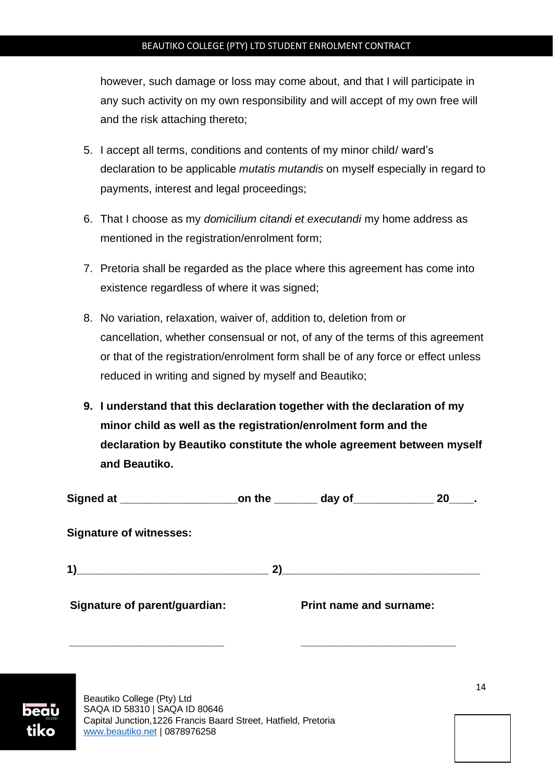however, such damage or loss may come about, and that I will participate in any such activity on my own responsibility and will accept of my own free will and the risk attaching thereto;

- 5. I accept all terms, conditions and contents of my minor child/ ward's declaration to be applicable *mutatis mutandis* on myself especially in regard to payments, interest and legal proceedings;
- 6. That I choose as my *domicilium citandi et executandi* my home address as mentioned in the registration/enrolment form;
- 7. Pretoria shall be regarded as the place where this agreement has come into existence regardless of where it was signed;
- 8. No variation, relaxation, waiver of, addition to, deletion from or cancellation, whether consensual or not, of any of the terms of this agreement or that of the registration/enrolment form shall be of any force or effect unless reduced in writing and signed by myself and Beautiko;
- **9. I understand that this declaration together with the declaration of my minor child as well as the registration/enrolment form and the declaration by Beautiko constitute the whole agreement between myself and Beautiko.**

|                                |    |                                                                                                                      | <b>20</b> |
|--------------------------------|----|----------------------------------------------------------------------------------------------------------------------|-----------|
| <b>Signature of witnesses:</b> |    |                                                                                                                      |           |
| 1)                             | 2) | <u> 1980 - Jan Samuel Barbara, martin da shekara tsara 1980 - Andrew Samuel Barbara, mashrida a shekara tsara 19</u> |           |
| Signature of parent/guardian:  |    | <b>Print name and surname:</b>                                                                                       |           |
|                                |    |                                                                                                                      |           |

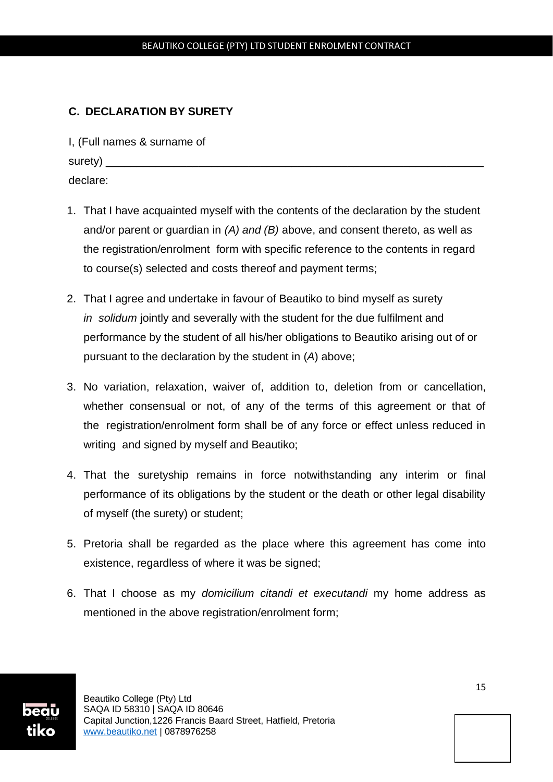# **C. DECLARATION BY SURETY**

I, (Full names & surname of surety) \_\_\_\_\_\_\_\_\_\_\_\_\_\_\_\_\_\_\_\_\_\_\_\_\_\_\_\_\_\_\_\_\_\_\_\_\_\_\_\_\_\_\_\_\_\_\_\_\_\_\_\_\_\_\_\_\_\_\_\_\_ declare:

- 1. That I have acquainted myself with the contents of the declaration by the student and/or parent or guardian in *(A) and (B)* above, and consent thereto, as well as the registration/enrolment form with specific reference to the contents in regard to course(s) selected and costs thereof and payment terms;
- 2. That I agree and undertake in favour of Beautiko to bind myself as surety *in solidum* jointly and severally with the student for the due fulfilment and performance by the student of all his/her obligations to Beautiko arising out of or pursuant to the declaration by the student in (*A*) above;
- 3. No variation, relaxation, waiver of, addition to, deletion from or cancellation, whether consensual or not, of any of the terms of this agreement or that of the registration/enrolment form shall be of any force or effect unless reduced in writing and signed by myself and Beautiko;
- 4. That the suretyship remains in force notwithstanding any interim or final performance of its obligations by the student or the death or other legal disability of myself (the surety) or student;
- 5. Pretoria shall be regarded as the place where this agreement has come into existence, regardless of where it was be signed;
- 6. That I choose as my *domicilium citandi et executandi* my home address as mentioned in the above registration/enrolment form;

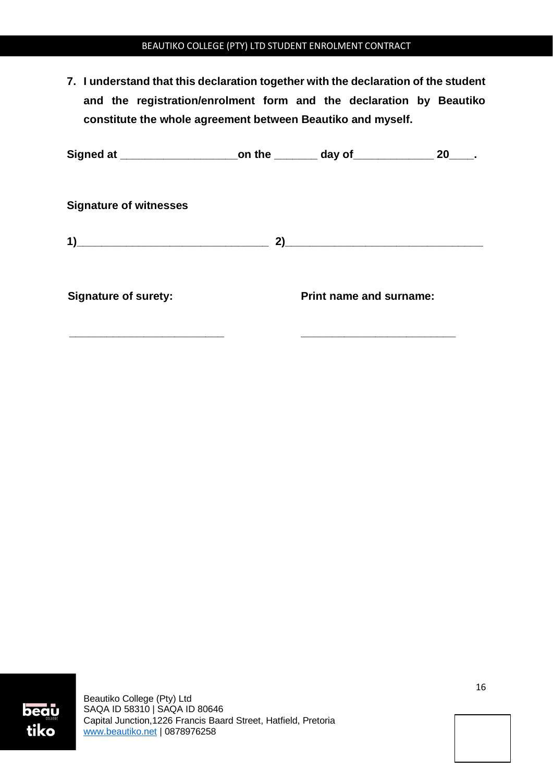**7. I understand that this declaration together with the declaration of the student and the registration/enrolment form and the declaration by Beautiko constitute the whole agreement between Beautiko and myself.** 

| Signed at ________________________on the ________ day of______________ |                                | 20 |
|------------------------------------------------------------------------|--------------------------------|----|
| <b>Signature of witnesses</b>                                          |                                |    |
|                                                                        |                                |    |
| <b>Signature of surety:</b>                                            | <b>Print name and surname:</b> |    |
|                                                                        |                                |    |